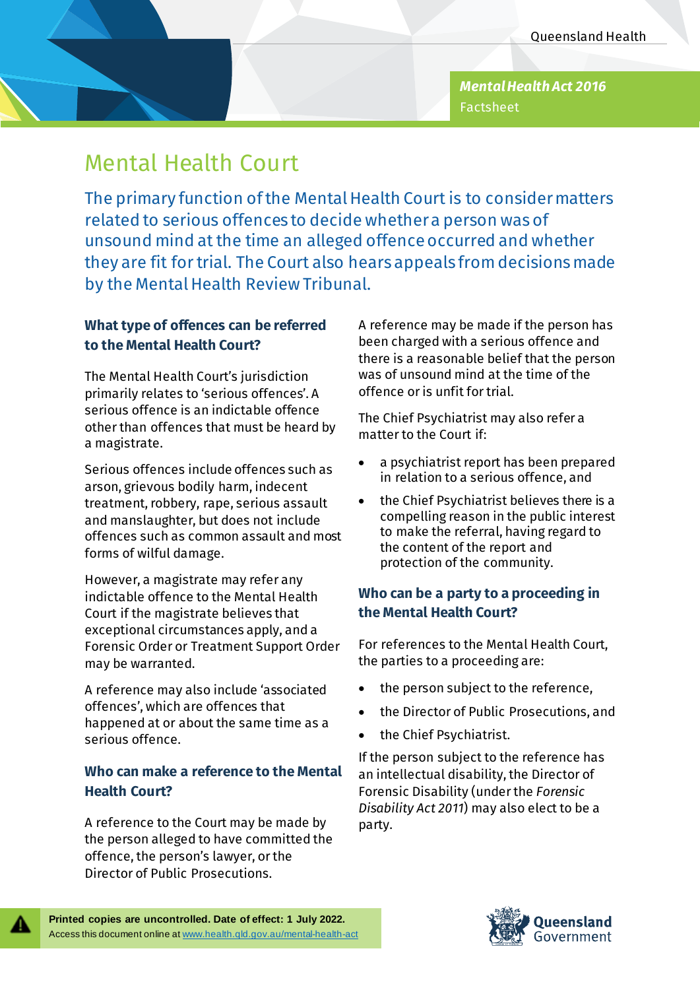*Mental Health Act 2016* Factsheet

# Mental Health Court

The primary function of the Mental Health Court is to consider matters related to serious offences to decide whether a person was of unsound mind at the time an alleged offence occurred and whether they are fit for trial. The Court also hears appeals from decisions made by the Mental Health Review Tribunal.

## **What type of offences can be referred to the Mental Health Court?**

The Mental Health Court's jurisdiction primarily relates to 'serious offences'. A serious offence is an indictable offence other than offences that must be heard by a magistrate.

Serious offences include offences such as arson, grievous bodily harm, indecent treatment, robbery, rape, serious assault and manslaughter, but does not include offences such as common assault and most forms of wilful damage.

However, a magistrate may refer any indictable offence to the Mental Health Court if the magistrate believes that exceptional circumstances apply, and a Forensic Order or Treatment Support Order may be warranted.

A reference may also include 'associated offences', which are offences that happened at or about the same time as a serious offence.

## **Who can make a reference to the Mental Health Court?**

A reference to the Court may be made by the person alleged to have committed the offence, the person's lawyer, or the Director of Public Prosecutions.

A reference may be made if the person has been charged with a serious offence and there is a reasonable belief that the person was of unsound mind at the time of the offence or is unfit for trial.

The Chief Psychiatrist may also refer a matter to the Court if:

- a psychiatrist report has been prepared in relation to a serious offence, and
- the Chief Psychiatrist believes there is a compelling reason in the public interest to make the referral, having regard to the content of the report and protection of the community.

## **Who can be a party to a proceeding in the Mental Health Court?**

For references to the Mental Health Court, the parties to a proceeding are:

- the person subject to the reference,
- the Director of Public Prosecutions, and
- the Chief Psychiatrist.

If the person subject to the reference has an intellectual disability, the Director of Forensic Disability (under the *Forensic Disability Act 2011*) may also elect to be a party.



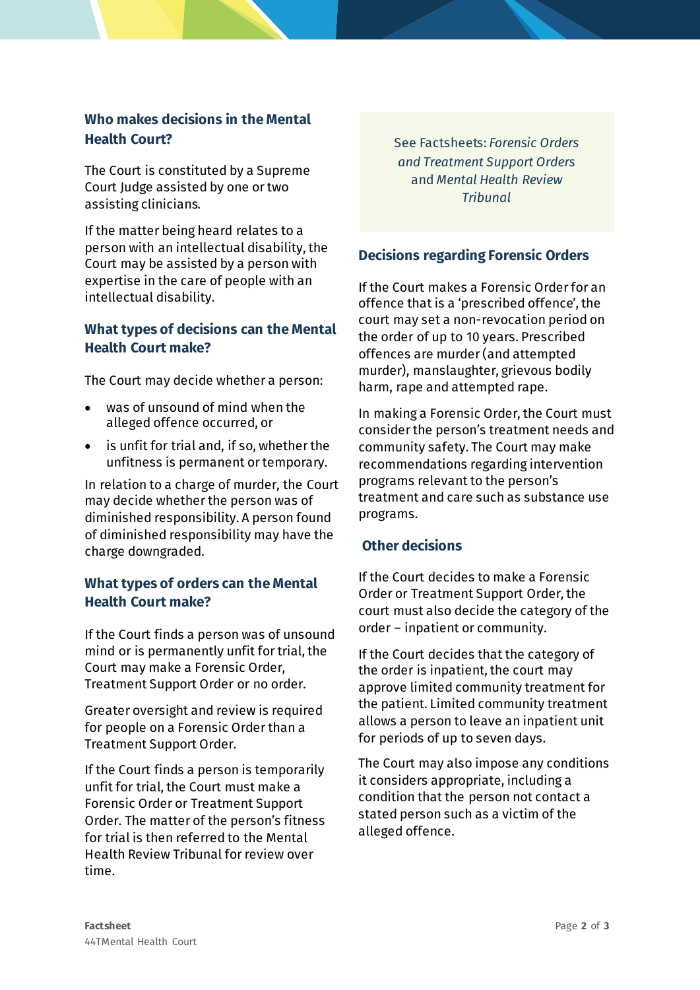## **Who makes decisions in the Mental Health Court?**

The Court is constituted by a Supreme Court Judge assisted by one or two assisting clinicians.

If the matter being heard relates to a person with an intellectual disability, the Court may be assisted by a person with expertise in the care of people with an intellectual disability.

#### **What types of decisions can the Mental Health Court make?**

The Court may decide whether a person:

- was of unsound of mind when the alleged offence occurred, or
- is unfit for trial and, if so, whether the unfitness is permanent or temporary.

In relation to a charge of murder, the Court may decide whether the person was of diminished responsibility. A person found of diminished responsibility may have the charge downgraded.

#### **What types of orders can the Mental Health Court make?**

If the Court finds a person was of unsound mind or is permanently unfit for trial, the Court may make a Forensic Order, Treatment Support Order or no order.

Greater oversight and review is required for people on a Forensic Order than a Treatment Support Order.

If the Court finds a person is temporarily unfit for trial, the Court must make a Forensic Order or Treatment Support Order. The matter of the person's fitness for trial is then referred to the Mental Health Review Tribunal for review over time.

See Factsheets: *Forensic Orders and Treatment Support Orders* and *Mental Health Review Tribunal*

## **Decisions regarding Forensic Orders**

If the Court makes a Forensic Order for an offence that is a 'prescribed offence', the court may set a non-revocation period on the order of up to 10 years. Prescribed offences are murder (and attempted murder), manslaughter, grievous bodily harm, rape and attempted rape.

In making a Forensic Order, the Court must consider the person's treatment needs and community safety. The Court may make recommendations regarding intervention programs relevant to the person's treatment and care such as substance use programs.

#### **Other decisions**

If the Court decides to make a Forensic Order or Treatment Support Order, the court must also decide the category of the order – inpatient or community.

If the Court decides that the category of the order is inpatient, the court may approve limited community treatment for the patient. Limited community treatment allows a person to leave an inpatient unit for periods of up to seven days.

The Court may also impose any conditions it considers appropriate, including a condition that the person not contact a stated person such as a victim of the alleged offence.